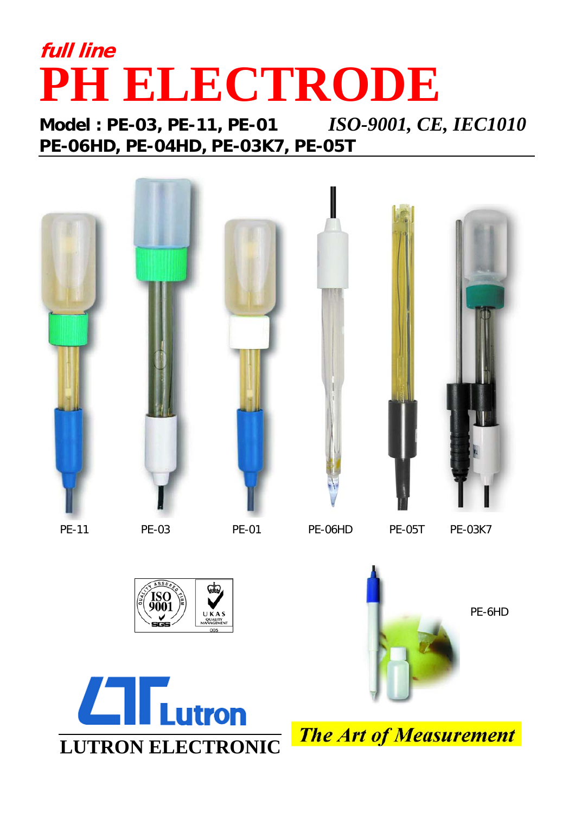## **full line PH ELECTRODE**

**Model : PE-03, PE-11, PE-01** *ISO-9001, CE, IEC1010* **PE-06HD, PE-04HD, PE-03K7, PE-05T**





**The Art of Measurement**